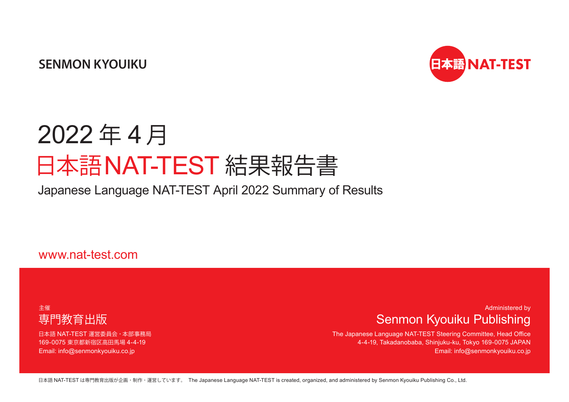**SENMON KYOUIKU**



# 2022 年 4 月 日本語NAT-TEST 結果報告書

Japanese Language NAT-TEST April 2022 Summary of Results

www.nat-test.com

### 主催 専門教育出版

日本語 NAT-TEST 運営委員会・本部事務局 169-0075 東京都新宿区高田馬場 4-4-19 Email: info@senmonkyouiku.co.jp

### Administered by Senmon Kyouiku Publishing

The Japanese Language NAT-TEST Steering Committee, Head Office 4-4-19, Takadanobaba, Shinjuku-ku, Tokyo 169-0075 JAPAN Email: info@senmonkyouiku.co.jp

日本語 NAT-TEST は専門教育出版が企画・制作・運営しています。 The Japanese Language NAT-TEST is created, organized, and administered by Senmon Kyouiku Publishing Co., Ltd.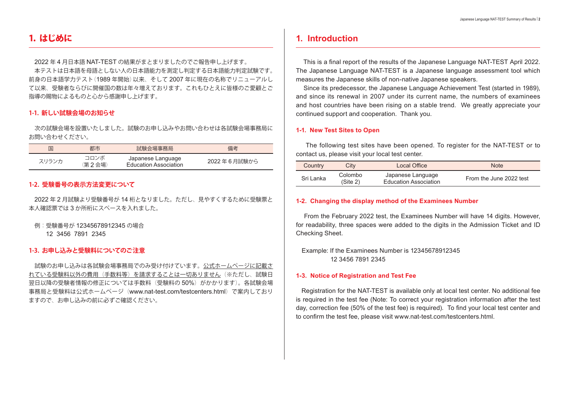### 1. はじめに

2022 年 4 月日本語 NAT-TEST の結果がまとまりましたのでご報告申し上げます。 本テストは日本語を母語としない人の日本語能力を測定し判定する日本語能力判定試験です。 前身の日本語学力テスト(1989 年開始)以来、そして 2007 年に現在の名称でリニューアルし て以来、受験者ならびに開催国の数は年々増えております。これもひとえに皆様のご愛顧とご 指導の賜物によるものと心から感謝申し上げます。

#### **1-1. 新しい試験会場のお知らせ**

 次の試験会場を設置いたしました。試験のお申し込みやお問い合わせは各試験会場事務局に お問い合わせください。

| 国     | 都市             | 試験会場事務局                                           | 備考             |
|-------|----------------|---------------------------------------------------|----------------|
| スリランカ | コロンボ<br>(第2会場) | Japanese Language<br><b>Education Association</b> | 2022 年 6 月試験から |

#### **1-2. 受験番号の表示方法変更について**

2022 年 2 月試験より受験番号が 14 桁となりました。ただし、見やすくするために受験票と 本人確認票では 3 か所桁にスペースを入れました。

例:受験番号が 12345678912345 の場合

12 3456 7891 2345

#### **1-3. お申し込みと受験料についてのご注意**

 試験のお申し込みは各試験会場事務局でのみ受け付けています。公式ホームページに記載さ れている受験料以外の費用(手数料等)を請求することは一切ありません(※ただし、試験日 翌日以降の受験者情報の修正については手数料(受験料の50%)がかかります)。各試験会場 事務局と受験料は公式ホームページ(www.nat-test.com/testcenters.html)で案内しており ますので、お申し込みの前に必ずご確認ください。

### **1. Introduction**

 This is a final report of the results of the Japanese Language NAT-TEST April 2022. The Japanese Language NAT-TEST is a Japanese language assessment tool which measures the Japanese skills of non-native Japanese speakers.

 Since its predecessor, the Japanese Language Achievement Test (started in 1989), and since its renewal in 2007 under its current name, the numbers of examinees and host countries have been rising on a stable trend. We greatly appreciate your continued support and cooperation. Thank you.

#### **1-1. New Test Sites to Open**

 The following test sites have been opened. To register for the NAT-TEST or to contact us, please visit your local test center.

| Country   | Citv                | Local Office                                      | <b>Note</b>             |
|-----------|---------------------|---------------------------------------------------|-------------------------|
| Sri Lanka | Colombo<br>(Site 2) | Japanese Language<br><b>Education Association</b> | From the June 2022 test |

#### **1-2. Changing the display method of the Examinees Number**

 From the February 2022 test, the Examinees Number will have 14 digits. However, for readability, three spaces were added to the digits in the Admission Ticket and ID Checking Sheet.

Example: If the Examinees Number is 12345678912345 12 3456 7891 2345

#### **1-3. Notice of Registration and Test Fee**

 Registration for the NAT-TEST is available only at local test center. No additional fee is required in the test fee (Note: To correct your registration information after the test day, correction fee (50% of the test fee) is required). To find your local test center and to confirm the test fee, please visit www.nat-test.com/testcenters.html.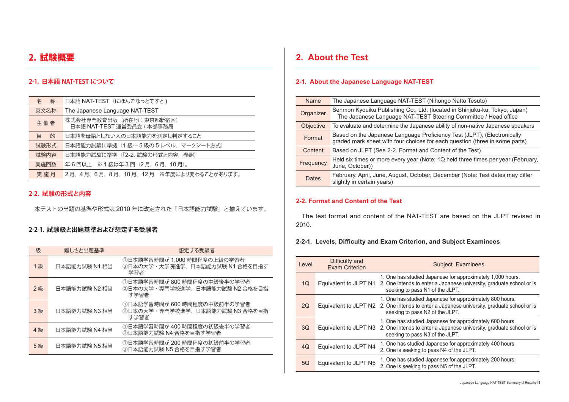### 2. 試験概要

#### **2-1. 日本語 NAT-TEST について**

| 称<br>名                                                       | 日本語 NAT-TEST (にほんごなっとてすと)             |
|--------------------------------------------------------------|---------------------------------------|
| 英文名称                                                         | The Japanese Language NAT-TEST        |
| 株式会社専門教育出版 (所在地:東京都新宿区)<br>主催者<br>日本語 NAT-TEST 運営委員会 / 本部事務局 |                                       |
| 的<br>目                                                       | 日本語を母語としない人の日本語能力を測定し判定すること           |
| 試験形式                                                         | 日本語能力試験に準拠(1級~5級の5レベル、マークシート方式)       |
| 試験内容                                                         | 日本語能力試験に準拠 (「2-2. 試験の形式と内容」参照)        |
| 実施回数                                                         | 年6回以上 ※1級は年3回(2月、6月、10月)。             |
| 実施月                                                          | 2月、4月、6月、8月、10月、12月 ※年度により変わることがあります。 |

#### **2-2. 試験の形式と内容**

本テストの出題の基準や形式は 2010 年に改定された「日本語能力試験」と揃えています。

#### **2-2-1. 試験級と出題基準および想定する受験者**

| 級  | 難しさと出題基準      | 想定する受験者                                                               |
|----|---------------|-----------------------------------------------------------------------|
| 1級 | 日本語能力試験 N1 相当 | ①日本語学習時間が 1,000 時間程度の上級の学習者<br>②日本の大学・大学院進学、日本語能力試験 N1 合格を目指す<br>学習者  |
| 2級 | 日本語能力試験 N2 相当 | ①日本語学習時間が 800 時間程度の中級後半の学習者<br>②日本の大学・専門学校進学、日本語能力試験 N2 合格を目指<br>す学習者 |
| 3級 | 日本語能力試験 N3 相当 | ①日本語学習時間が 600 時間程度の中級前半の学習者<br>②日本の大学・専門学校進学、日本語能力試験 N3 合格を目指<br>す学習者 |
| 4級 | 日本語能力試験 N4 相当 | ①日本語学習時間が 400 時間程度の初級後半の学習者<br>②日本語能力試験 N4 合格を目指す学習者                  |
| 5級 | 日本語能力試験 N5 相当 | ①日本語学習時間が 200 時間程度の初級前半の学習者<br>②日本語能力試験 N5 合格を目指す学習者                  |

### **2. About the Test**

#### **2-1. About the Japanese Language NAT-TEST**

| Name      | The Japanese Language NAT-TEST (Nihongo Natto Tesuto)                                                                                                  |
|-----------|--------------------------------------------------------------------------------------------------------------------------------------------------------|
| Organizer | Senmon Kyouiku Publishing Co., Ltd. (located in Shinjuku-ku, Tokyo, Japan)<br>The Japanese Language NAT-TEST Steering Committee / Head office          |
| Objective | To evaluate and determine the Japanese ability of non-native Japanese speakers                                                                         |
| Format    | Based on the Japanese Language Proficiency Test (JLPT), (Electronically<br>graded mark sheet with four choices for each question (three in some parts) |
| Content   | Based on JLPT (See 2-2. Format and Content of the Test)                                                                                                |
| Frequency | Held six times or more every year (Note: 1Q held three times per year (February,<br>June, October))                                                    |
| Dates     | February, April, June, August, October, December (Note: Test dates may differ<br>slightly in certain years)                                            |

#### **2-2. Format and Content of the Test**

The test format and content of the NAT-TEST are based on the JLPT revised in 2010.

#### **2-2-1. Levels, Difficulty and Exam Criterion, and Subject Examinees**

| I evel | Difficulty and<br><b>Exam Criterion</b> | <b>Subject Examinees</b>                                                                                                                                                                  |
|--------|-----------------------------------------|-------------------------------------------------------------------------------------------------------------------------------------------------------------------------------------------|
| 1Q     | Equivalent to JLPT N1                   | 1. One has studied Japanese for approximately 1,000 hours.<br>2. One intends to enter a Japanese university, graduate school or is<br>seeking to pass N1 of the JLPT.                     |
| 2Q     |                                         | 1. One has studied Japanese for approximately 800 hours.<br>Equivalent to JLPT N2 2. One intends to enter a Japanese university, graduate school or is<br>seeking to pass N2 of the JLPT. |
| 3Q     | Equivalent to JLPT N3                   | 1. One has studied Japanese for approximately 600 hours.<br>2. One intends to enter a Japanese university, graduate school or is<br>seeking to pass N3 of the JLPT.                       |
| 4Q     | Equivalent to JLPT N4                   | 1. One has studied Japanese for approximately 400 hours.<br>2. One is seeking to pass N4 of the JLPT.                                                                                     |
| 5Q     | Equivalent to JLPT N5                   | 1. One has studied Japanese for approximately 200 hours.<br>2. One is seeking to pass N5 of the JLPT.                                                                                     |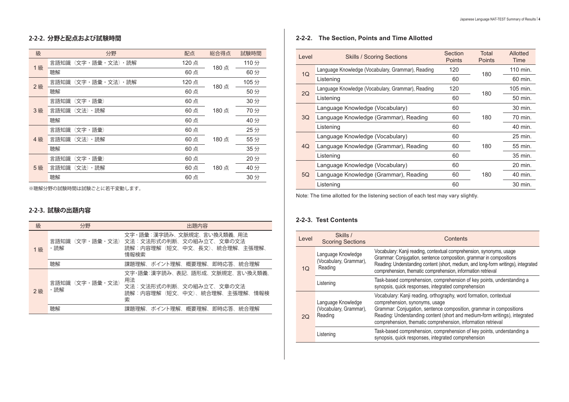#### **2-2-2. 分野と配点および試験時間**

| 級  | 分野                    | 配点   | 総合得点 | 試験時間 |
|----|-----------------------|------|------|------|
| 1級 | 言語知識<br>(文字・語彙・文法)・読解 | 120点 | 180点 | 110分 |
|    | 聴解                    | 60点  |      | 60分  |
| 2級 | (文字・語彙・文法)・読解<br>言語知識 | 120点 | 180点 | 105分 |
|    | 聴解                    | 60点  |      | 50分  |
|    | 言語知識<br>(文字・語彙)       | 60点  |      | 30分  |
| 3級 | 言語知識<br>(文法)<br>・読解   | 60点  | 180点 | 70分  |
|    | 聴解                    | 60点  |      | 40分  |
|    | 言語知識<br>(文字・語彙)       | 60点  |      | 25分  |
| 4級 | 言語知識<br>・読解<br>(文法)   | 60点  | 180点 | 55分  |
|    | 聴解                    | 60点  |      | 35分  |
|    | 言語知識<br>(文字・語彙)       | 60点  |      | 20分  |
| 5級 | 言語知識<br>・読解<br>(文法)   | 60点  | 180点 | 40分  |
|    | 聴解                    | 60点  |      | 30分  |

※聴解分野の試験時間は試験ごとに若干変動します。

#### **2-2-3. 試験の出題内容**

| 級  | 分野                    | 出題内容                                                                                                     |
|----|-----------------------|----------------------------------------------------------------------------------------------------------|
| 1級 | 言語知識(文字・語彙・文法)<br>・読解 | 文字・語彙:漢字読み、文脈規定、言い換え類義、用法<br>文法:文法形式の判断、文の組み立て、文章の文法<br>読解:内容理解(短文、中文、長文)、統合理解、主張理解、<br>情報検索             |
|    | 聴解                    | 課題理解、ポイント理解、概要理解、即時応答、統合理解                                                                               |
| 2級 | 言語知識(文字・語彙・文法)<br>・読解 | 文字・語彙:漢字読み、表記、語形成、文脈規定、言い換え類義、<br>用法<br>文法:文法形式の判断、文の組み立て、文章の文法<br>読解:内容理解(短文、中文)、統合理解、主張理解、<br>情報検<br>索 |
|    | 聴解                    | ポイント理解、<br>概要理解<br>即時応答<br>課題理解、<br>統合理解                                                                 |

#### **2-2-2. The Section, Points and Time Allotted**

| Level | <b>Skills / Scoring Sections</b>                  | Section<br>Points | Total<br><b>Points</b> | Allotted<br>Time |
|-------|---------------------------------------------------|-------------------|------------------------|------------------|
|       | Language Knowledge (Vocabulary, Grammar), Reading | 120               | 180                    | 110 min.         |
| 1Q    | Listening                                         | 60                |                        | 60 min.          |
| 2Q    | Language Knowledge (Vocabulary, Grammar), Reading | 120               | 180                    | 105 min.         |
|       | Listening                                         | 60                |                        | 50 min.          |
|       | Language Knowledge (Vocabulary)                   | 60                |                        | 30 min.          |
| 3Q    | Language Knowledge (Grammar), Reading             | 60                | 180                    | 70 min.          |
|       | Listening                                         | 60                |                        | 40 min.          |
|       | Language Knowledge (Vocabulary)                   | 60                |                        | 25 min.          |
| 4Q    | Language Knowledge (Grammar), Reading             | 60                | 180                    | 55 min.          |
|       | Listening                                         | 60                |                        | 35 min.          |
| 5Q    | Language Knowledge (Vocabulary)                   | 60                |                        | 20 min.          |
|       | Language Knowledge (Grammar), Reading             | 60                | 180                    | 40 min.          |
|       | Listening                                         | 60                |                        | 30 min.          |

Note: The time allotted for the listening section of each test may vary slightly.

#### **2-2-3. Test Contents**

ш

| Level | Skills /<br><b>Scoring Sections</b>                     | Contents                                                                                                                                                                                                                                                                                                                   |
|-------|---------------------------------------------------------|----------------------------------------------------------------------------------------------------------------------------------------------------------------------------------------------------------------------------------------------------------------------------------------------------------------------------|
| 1Q    | Language Knowledge<br>(Vocabulary, Grammar),<br>Reading | Vocabulary: Kanji reading, contextual comprehension, synonyms, usage<br>Grammar: Conjugation, sentence composition, grammar in compositions<br>Reading: Understanding content (short, medium, and long-form writings), integrated<br>comprehension, thematic comprehension, information retrieval                          |
|       | Listening                                               | Task-based comprehension, comprehension of key points, understanding a<br>synopsis, quick responses, integrated comprehension                                                                                                                                                                                              |
| 20    | Language Knowledge<br>(Vocabulary, Grammar),<br>Reading | Vocabulary: Kanji reading, orthography, word formation, contextual<br>comprehension, synonyms, usage<br>Grammar: Conjugation, sentence composition, grammar in compositions<br>Reading: Understanding content (short and medium-form writings), integrated<br>comprehension, thematic comprehension, information retrieval |
|       | Listening                                               | Task-based comprehension, comprehension of key points, understanding a<br>synopsis, quick responses, integrated comprehension                                                                                                                                                                                              |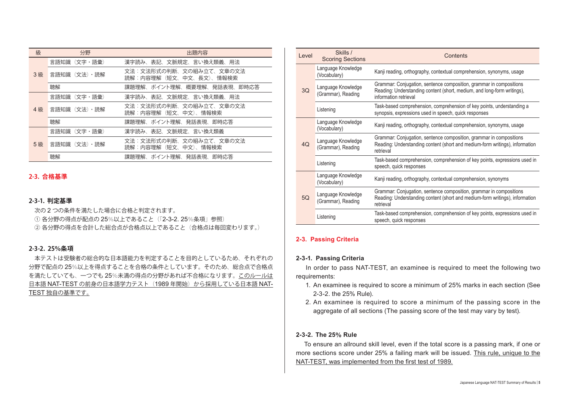| 級  | 分野<br>出題内容  |                                                   |
|----|-------------|---------------------------------------------------|
| 3級 | 言語知識(文字・語彙) | 漢字読み、表記、文脈規定、言い換え類義、用法                            |
|    | 言語知識(文法)・読解 | 文法:文法形式の判断、文の組み立て、文章の文法<br>読解:内容理解(短文、中文、長文)、情報検索 |
|    | 聴解          | 課題理解、ポイント理解、概要理解、発話表現、即時応答                        |
|    | 言語知識(文字・語彙) | 漢字読み、表記、文脈規定、言い換え類義、用法                            |
| 4級 | 言語知識(文法)・読解 | 文法:文法形式の判断、文の組み立て、文章の文法<br>読解:内容理解(短文、中文)、情報検索    |
|    | 聴解          | 課題理解、ポイント理解、発話表現、即時応答                             |
|    | 言語知識(文字・語彙) | 漢字読み、表記、文脈規定、言い換え類義                               |
| 5級 | 言語知識(文法)・読解 | 文法:文法形式の判断、文の組み立て、文章の文法<br>読解:内容理解(短文、中文)、情報検索    |
|    | 聴解          | 課題理解、ポイント理解、発話表現、即時応答                             |

#### **2-3. 合格基準**

#### **2-3-1. 判定基準**

次の 2 つの条件を満たした場合に合格と判定されます。

① 各分野の得点が配点の 25%以上であること(「2-3-2. 25%条項」参照)

② 各分野の得点を合計した総合点が合格点以上であること(合格点は毎回変わります。)

#### **2-3-2. 25%条項**

 本テストは受験者の総合的な日本語能力を判定することを目的としているため、それぞれの 分野で配点の 25%以上を得点することを合格の条件としています。そのため、総合点で合格点 を満たしていても、一つでも 25%未満の得点の分野があれば不合格になります。このルールは 日本語 NAT-TEST の前身の日本語学力テスト (1989 年開始)から採用している日本語 NAT-TEST 独自の基準です。

| Level | Skills /<br><b>Scoring Sections</b>      | Contents                                                                                                                                                                |  |
|-------|------------------------------------------|-------------------------------------------------------------------------------------------------------------------------------------------------------------------------|--|
|       | Language Knowledge<br>(Vocabulary)       | Kanji reading, orthography, contextual comprehension, synonyms, usage                                                                                                   |  |
| 3Q    | Language Knowledge<br>(Grammar), Reading | Grammar: Conjugation, sentence composition, grammar in compositions<br>Reading: Understanding content (short, medium, and long-form writings),<br>information retrieval |  |
|       | Listening                                | Task-based comprehension, comprehension of key points, understanding a<br>synopsis, expressions used in speech, quick responses                                         |  |
| 4Q    | Language Knowledge<br>(Vocabulary)       | Kanji reading, orthography, contextual comprehension, synonyms, usage                                                                                                   |  |
|       | Language Knowledge<br>(Grammar), Reading | Grammar: Conjugation, sentence composition, grammar in compositions<br>Reading: Understanding content (short and medium-form writings), information<br>retrieval        |  |
|       | Listening                                | Task-based comprehension, comprehension of key points, expressions used in<br>speech, quick responses                                                                   |  |
|       | Language Knowledge<br>(Vocabulary)       | Kanji reading, orthography, contextual comprehension, synonyms                                                                                                          |  |
| 5Q    | Language Knowledge<br>(Grammar), Reading | Grammar: Conjugation, sentence composition, grammar in compositions<br>Reading: Understanding content (short and medium-form writings), information<br>retrieval        |  |
|       | Listening                                | Task-based comprehension, comprehension of key points, expressions used in<br>speech, quick responses                                                                   |  |

#### **2-3. Passing Criteria**

#### **2-3-1. Passing Criteria**

 In order to pass NAT-TEST, an examinee is required to meet the following two requirements:

- 1. An examinee is required to score a minimum of 25% marks in each section (See 2-3-2. the 25% Rule).
- 2. An examinee is required to score a minimum of the passing score in the aggregate of all sections (The passing score of the test may vary by test).

#### **2-3-2. The 25% Rule**

 To ensure an allround skill level, even if the total score is a passing mark, if one or more sections score under 25% a failing mark will be issued. This rule, unique to the NAT-TEST, was implemented from the first test of 1989.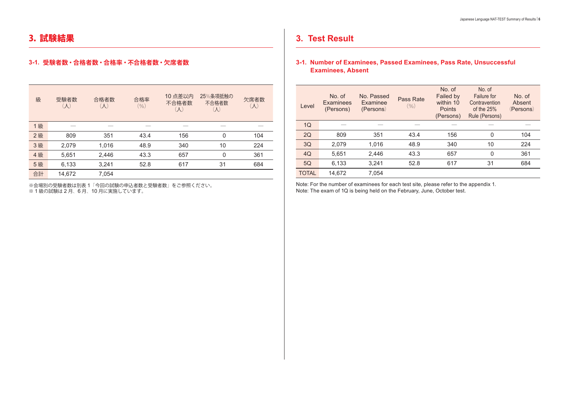### 3. 試験結果

#### **3-1. 受験者数・合格者数・合格率・不合格者数・欠席者数**

| 級  | 受験者数<br>$(\mathcal{N})$ | 合格者数<br>$(\mathcal{N})$ | 合格率<br>$(\%)$ | 10 点差以内<br>不合格者数<br>$(\mathcal{N})$ | 25%条項抵触の<br>不合格者数<br>$(\mathcal{N})$ | 欠席者数<br>$(\mathcal{N})$ |
|----|-------------------------|-------------------------|---------------|-------------------------------------|--------------------------------------|-------------------------|
| 1級 |                         |                         |               |                                     |                                      |                         |
| 2級 | 809                     | 351                     | 43.4          | 156                                 | 0                                    | 104                     |
| 3級 | 2,079                   | 1,016                   | 48.9          | 340                                 | 10                                   | 224                     |
| 4級 | 5,651                   | 2,446                   | 43.3          | 657                                 | 0                                    | 361                     |
| 5級 | 6,133                   | 3,241                   | 52.8          | 617                                 | 31                                   | 684                     |
| 合計 | 14,672                  | 7,054                   |               |                                     |                                      |                         |

※会場別の受験者数は別表 1「今回の試験の申込者数と受験者数」をご参照ください。

※ 1 級の試験は 2 月、6 月、10 月に実施しています。

### **3. Test Result**

#### **3-1. Number of Examinees, Passed Examinees, Pass Rate, Unsuccessful Examinees, Absent**

| Level | $No$ of<br>Examinees<br>(Persons) | No. Passed<br>Examinee<br>(Persons) | Pass Rate<br>(9/0) | No. of<br>Failed by<br>within 10<br><b>Points</b><br>(Persons) | No. of<br>Failure for<br>Contravention<br>of the $25%$<br>Rule (Persons) | $No$ of<br>Absent<br>(Persons) |
|-------|-----------------------------------|-------------------------------------|--------------------|----------------------------------------------------------------|--------------------------------------------------------------------------|--------------------------------|
| 1Q    |                                   |                                     |                    |                                                                |                                                                          |                                |
| 2Q    | 809                               | 351                                 | 43.4               | 156                                                            | $\Omega$                                                                 | 104                            |
| 3Q    | 2,079                             | 1,016                               | 48.9               | 340                                                            | 10                                                                       | 224                            |
| 4Q    | 5,651                             | 2,446                               | 43.3               | 657                                                            | $\Omega$                                                                 | 361                            |
| 5Q    | 6,133                             | 3,241                               | 52.8               | 617                                                            | 31                                                                       | 684                            |
| TOTAL | 14.672                            | 7.054                               |                    |                                                                |                                                                          |                                |

Note: For the number of examinees for each test site, please refer to the appendix 1. Note: The exam of 1Q is being held on the February, June, October test.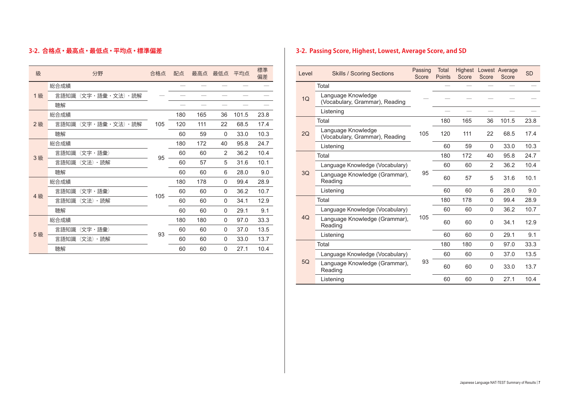### **3-2. 合格点・最高点・最低点・平均点・標準偏差**

| 級  | 分野                    | 合格点 | 配点  | 最高点 | 最低点      | 平均点   | 標準<br>偏差 |
|----|-----------------------|-----|-----|-----|----------|-------|----------|
|    | 総合成績                  |     |     |     |          |       |          |
| 1級 | (文字・語彙・文法)・読解<br>言語知識 |     |     |     |          |       |          |
|    | 聴解                    |     |     |     |          |       |          |
|    | 総合成績                  |     | 180 | 165 | 36       | 101.5 | 23.8     |
| 2級 | (文字・語彙・文法)・読解<br>言語知識 | 105 | 120 | 111 | 22       | 68.5  | 17.4     |
|    | 聴解                    |     | 60  | 59  | 0        | 33.0  | 10.3     |
|    | 総合成績                  |     | 180 | 172 | 40       | 95.8  | 24.7     |
| 3級 | 言語知識<br>(文字・語彙)       | 95  | 60  | 60  | 2        | 36.2  | 10.4     |
|    | 言語知識<br>(文法)・読解       |     | 60  | 57  | 5        | 31.6  | 10.1     |
|    | 聴解                    |     | 60  | 60  | 6        | 28.0  | 9.0      |
|    | 総合成績                  |     | 180 | 178 | $\Omega$ | 99.4  | 28.9     |
| 4級 | 言語知識<br>(文字・語彙)       | 105 | 60  | 60  | $\Omega$ | 36.2  | 10.7     |
|    | 言語知識<br>(文法)・読解       |     | 60  | 60  | 0        | 34.1  | 12.9     |
|    | 聴解                    |     | 60  | 60  | $\Omega$ | 29.1  | 9.1      |
|    | 総合成績                  |     | 180 | 180 | $\Omega$ | 97.0  | 33.3     |
|    | 言語知識<br>(文字・語彙)       | 93  | 60  | 60  | 0        | 37.0  | 13.5     |
| 5級 | 言語知識<br>(文法)・読解       |     | 60  | 60  | 0        | 33.0  | 13.7     |
|    | 聴解                    |     | 60  | 60  | 0        | 27.1  | 10.4     |

### **3-2. Passing Score, Highest, Lowest, Average Score, and SD**

| Level | <b>Skills / Scoring Sections</b>                     | Passing<br>Score | Total<br><b>Points</b> | Score | Score       | <b>Highest Lowest Average</b><br>Score | <b>SD</b> |
|-------|------------------------------------------------------|------------------|------------------------|-------|-------------|----------------------------------------|-----------|
|       | Total                                                |                  |                        |       |             |                                        |           |
| 1Q    | Language Knowledge<br>(Vocabulary, Grammar), Reading |                  |                        |       |             |                                        |           |
|       | Listening                                            |                  |                        |       |             |                                        |           |
|       | Total                                                |                  | 180                    | 165   | 36          | 101.5                                  | 23.8      |
| 2Q    | Language Knowledge<br>(Vocabulary, Grammar), Reading | 105              | 120                    | 111   | 22          | 68.5                                   | 17.4      |
|       | Listening                                            |                  | 60                     | 59    | $\mathbf 0$ | 33.0                                   | 10.3      |
|       | Total                                                |                  | 180                    | 172   | 40          | 95.8                                   | 24.7      |
| 3Q    | Language Knowledge (Vocabulary)                      |                  | 60                     | 60    | 2           | 36.2                                   | 10.4      |
|       | Language Knowledge (Grammar),<br>Reading             | 95               | 60                     | 57    | 5           | 31.6                                   | 10.1      |
|       | Listening                                            |                  | 60                     | 60    | 6           | 28.0                                   | 9.0       |
|       | Total                                                |                  | 180                    | 178   | $\Omega$    | 99.4                                   | 28.9      |
|       | Language Knowledge (Vocabulary)                      |                  | 60                     | 60    | $\mathbf 0$ | 36.2                                   | 10.7      |
| 4Q    | Language Knowledge (Grammar),<br>Reading             | 105              | 60                     | 60    | $\mathbf 0$ | 34.1                                   | 12.9      |
|       | Listening                                            |                  | 60                     | 60    | $\Omega$    | 29.1                                   | 9.1       |
|       | Total                                                |                  | 180                    | 180   | $\mathbf 0$ | 97.0                                   | 33.3      |
|       | Language Knowledge (Vocabulary)                      |                  | 60                     | 60    | $\Omega$    | 37.0                                   | 13.5      |
| 5Q    | Language Knowledge (Grammar),<br>Reading             | 93               | 60                     | 60    | $\mathbf 0$ | 33.0                                   | 13.7      |
|       | Listening                                            |                  | 60                     | 60    | 0           | 27.1                                   | 10.4      |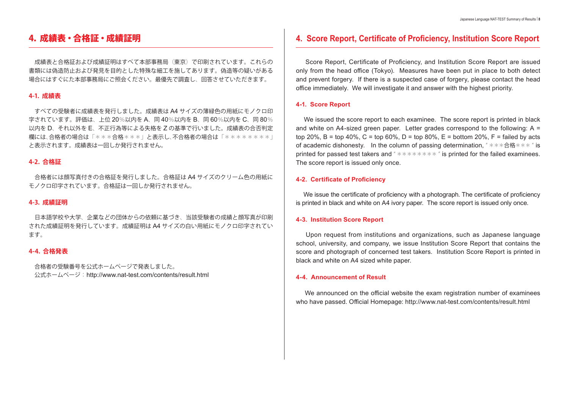### 4. 成績表・合格証・成績証明

 成績表と合格証および成績証明はすべて本部事務局(東京)で印刷されています。これらの 書類には偽造防止および発見を目的とした特殊な細工を施してあります。偽造等の疑いがある 場合にはすぐにた本部事務局にご照会ください。最優先で調査し、回答させていただきます。

#### **4-1. 成績表**

 すべての受験者に成績表を発行しました。成績表は A4 サイズの薄緑色の用紙にモノクロ印 字されています。評価は、上位 20%以内を A、同 40%以内を B、同 60%以内を C、同 80% 以内を D、それ以外を E、不正行為等による失格を Z の基準で行いました。成績表の合否判定 欄には、合格者の場合は「\*\*\*合格\*\*\*」と表示し、不合格者の場合は「\*\*\*\*\*\*\*\*」 と表示されます。成績表は一回しか発行されません。

#### **4-2. 合格証**

 合格者には顔写真付きの合格証を発行しました。合格証は A4 サイズのクリーム色の用紙に モノクロ印字されています。合格証は一回しか発行されません。

#### **4-3. 成績証明**

 日本語学校や大学、企業などの団体からの依頼に基づき、当該受験者の成績と顔写真が印刷 された成績証明を発行しています。成績証明は A4 サイズの白い用紙にモノクロ印字されてい ます。

#### **4-4. 合格発表**

 合格者の受験番号を公式ホームページで発表しました。 公式ホームページ: http://www.nat-test.com/contents/result.html

### **4. Score Report, Certificate of Proficiency, Institution Score Report**

 Score Report, Certificate of Proficiency, and Institution Score Report are issued only from the head office (Tokyo). Measures have been put in place to both detect and prevent forgery. If there is a suspected case of forgery, please contact the head office immediately. We will investigate it and answer with the highest priority.

#### **4-1. Score Report**

 We issued the score report to each examinee. The score report is printed in black and white on A4-sized green paper. Letter grades correspond to the following:  $A =$ top 20%, B = top 40%, C = top 60%, D = top 80%, E = bottom 20%, F = failed by acts of academic dishonesty. In the column of passing determination, "\*\*\*合格\*\*\*" is printed for passed test takers and " $*********$ " is printed for the failed examinees. The score report is issued only once.

#### **4-2. Certificate of Proficiency**

 We issue the certificate of proficiency with a photograph. The certificate of proficiency is printed in black and white on A4 ivory paper. The score report is issued only once.

#### **4-3. Institution Score Report**

 Upon request from institutions and organizations, such as Japanese language school, university, and company, we issue Institution Score Report that contains the score and photograph of concerned test takers. Institution Score Report is printed in black and white on A4 sized white paper.

#### **4-4. Announcement of Result**

 We announced on the official website the exam registration number of examinees who have passed. Official Homepage: http://www.nat-test.com/contents/result.html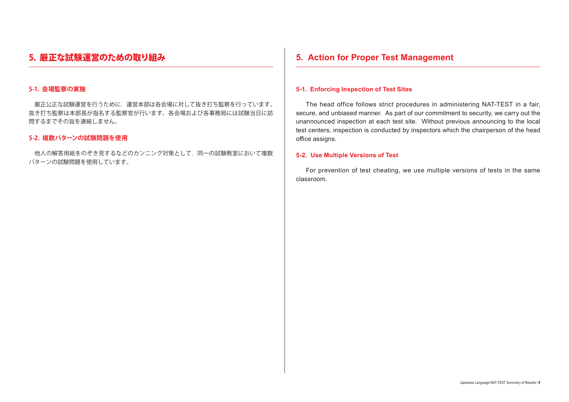### 5. 厳正な試験運営のための取り組み

#### **5-1. 会場監察の実施**

 厳正公正な試験運営を行うために、運営本部は各会場に対して抜き打ち監察を行っています。 抜き打ち監察は本部長が指名する監察官が行います。各会場および各事務局には試験当日に訪 問するまでその旨を連絡しません。

#### **5-2. 複数パターンの試験問題を使用**

 他人の解答用紙をのぞき見するなどのカンニング対策として、同一の試験教室において複数 パターンの試験問題を使用しています。

### **5. Action for Proper Test Management**

#### **5-1. Enforcing Inspection of Test Sites**

 The head office follows strict procedures in administering NAT-TEST in a fair, secure, and unbiased manner. As part of our commitment to security, we carry out the unannounced inspection at each test site. Without previous announcing to the local test centers, inspection is conducted by inspectors which the chairperson of the head office assigns.

#### **5-2. Use Multiple Versions of Test**

 For prevention of test cheating, we use multiple versions of tests in the same classroom.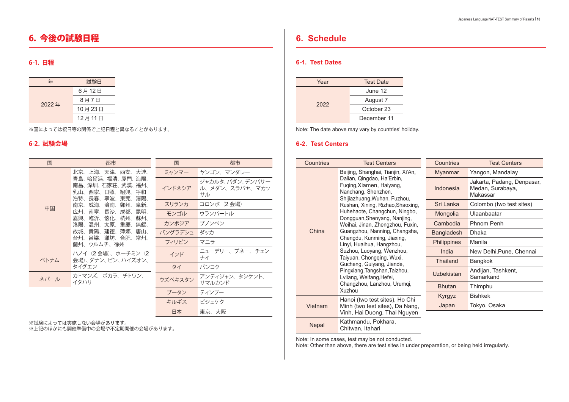### 6. 今後の試験日程

### **6-1. 日程**

| 年     | 試験日    |
|-------|--------|
|       | 6月12日  |
| 2022年 | 8月7日   |
|       | 10月23日 |
|       | 12月11日 |

※国によっては祝日等の関係で上記日程と異なることがあります。

### **6-2. 試験会場**

| 国    | 都市                                                                                             | 国       | 都市                                      |
|------|------------------------------------------------------------------------------------------------|---------|-----------------------------------------|
|      | 北京、上海、天津、西安、大連、                                                                                | ミャンマー   | ヤンゴン、マンダレー                              |
|      | 青島、哈爾浜、福清、厦門、海陽、<br>南昌、深圳、石家荘、武漢、福州、<br>西寧、日照、紹興、<br>乳山、<br>呼和<br>浩特、<br>長春、<br>- 寧波、東莞、<br>瀋陽 | インドネシア  | ジャカルタ、パダン、デンパサー<br>ル、メダン、スラバヤ、マカッ<br>サル |
| 中国   | 威海、<br>南京、<br>済南、鄭州、<br>阜新、                                                                    | スリランカ   | コロンボ (2 会場)                             |
|      | 南寧、<br>長沙、<br>昆明、<br>広州、<br>成都、<br>臨沂、<br>懐化<br>杭州、<br>嘉興、<br>蘇州、                              | モンゴル    | ウランバートル                                 |
|      | 温州、<br>太原、重慶、<br>洛陽、<br>無錫                                                                     | カンボジア   | プノンペン                                   |
|      | 貴陽、建德、萍郷、<br>故城、<br>唐山、                                                                        | バングラデシュ | ダッカ                                     |
|      | 台州、呂梁、濰坊、合肥、常州、<br>蘭州、ウルムチ、徐州                                                                  | フィリピン   | マニラ                                     |
| ベトナム | ハノイ(2 会場)、ホーチミン(2<br>会場)、ダナン、ビン、ハイズオン、                                                         | インド     | ニューデリー、プネー、チェン<br>ナイ                    |
|      | タイグエン                                                                                          | タイ      | バンコク                                    |
| ネパール | カトマンズ、ポカラ、チトワン、<br>イタハリ                                                                        | ウズベキスタン | アンディジャン、タシケント、<br>サマルカンド                |
|      |                                                                                                | ブータン    | ティンプー                                   |
|      |                                                                                                | キルギス    | ビシュケク                                   |
|      |                                                                                                | 日本      | 東京、大阪                                   |

※試験によっては実施しない会場があります。

※上記のほかにも開催準備中の会場や不定期開催の会場があります。

### **6. Schedule**

#### **6-1. Test Dates**

| Year | <b>Test Date</b> |
|------|------------------|
|      | June 12          |
| 2022 | August 7         |
|      | October 23       |
|      | December 11      |

Note: The date above may vary by countries' holiday.

#### **6-2. Test Centers**

| Countries    | <b>Test Centers</b>                                                                                           | Countries          | <b>Test Centers</b>                                        |
|--------------|---------------------------------------------------------------------------------------------------------------|--------------------|------------------------------------------------------------|
|              | Beijing, Shanghai, Tianjin, Xi'An,                                                                            | <b>Myanmar</b>     | Yangon, Mandalay                                           |
|              | Dalian, Qingdao, Ha'Erbin,<br>Fuging, Xiamen, Haiyang,<br>Nanchang, Shenzhen,<br>Shijiazhuang, Wuhan, Fuzhou, | Indonesia          | Jakarta, Padang, Denpasar,<br>Medan, Surabaya,<br>Makassar |
|              | Rushan, Xining, Rizhao, Shaoxing,                                                                             | Sri Lanka          | Colombo (two test sites)                                   |
|              | Huhehaote, Changchun, Ningbo,<br>Dongguan, Shenyang, Nanjing,                                                 | Mongolia           | Ulaanbaatar                                                |
|              | Weihai, Jinan, Zhengzhou, Fuxin,                                                                              | Cambodia           | Phnom Penh                                                 |
| China        | Guangzhou, Nanning, Changsha,                                                                                 | Bangladesh         | Dhaka                                                      |
|              | Chengdu, Kunming, Jiaxing,<br>Linyi, Huaihua, Hangzhou,                                                       | <b>Philippines</b> | Manila                                                     |
|              | Suzhou, Luoyang, Wenzhou,                                                                                     | India              | New Delhi, Pune, Chennai                                   |
|              | Taiyuan, Chongqing, Wuxi,<br>Gucheng, Guiyang, Jiande,                                                        | <b>Thailand</b>    | Bangkok                                                    |
|              | Pingxiang, Tangshan, Taizhou,<br>Lyliang, Weifang, Hefei,                                                     | <b>Uzbekistan</b>  | Andijan, Tashkent,<br>Samarkand                            |
|              | Changzhou, Lanzhou, Urumqi,<br>Xuzhou                                                                         | <b>Bhutan</b>      | Thimphu                                                    |
|              | Hanoi (two test sites), Ho Chi                                                                                | Kyrgyz             | <b>Bishkek</b>                                             |
| Vietnam      | Minh (two test sites), Da Nang,                                                                               | Japan              | Tokyo, Osaka                                               |
|              | Vinh, Hai Duong, Thai Nguyen                                                                                  |                    |                                                            |
| <b>Nepal</b> | Kathmandu, Pokhara,<br>Chitwan, Itahari                                                                       |                    |                                                            |

Note: In some cases, test may be not conducted.

Note: Other than above, there are test sites in under preparation, or being held irregularly.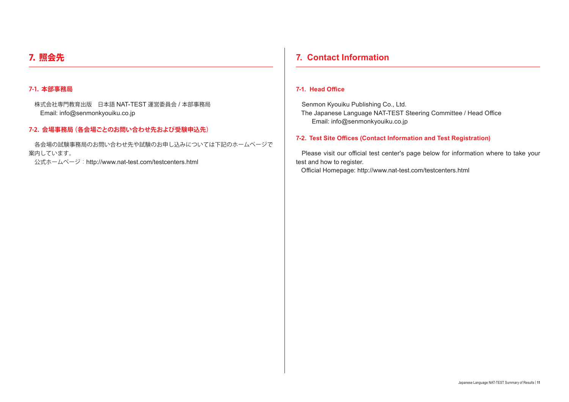### 7. 照会先

#### **7-1. 本部事務局**

 株式会社専門教育出版 日本語 NAT-TEST 運営委員会 / 本部事務局 Email: info@senmonkyouiku.co.jp

#### **7-2. 会場事務局(各会場ごとのお問い合わせ先および受験申込先)**

 各会場の試験事務局のお問い合わせ先や試験のお申し込みについては下記のホームページで 案内しています。

公式ホームページ:http://www.nat-test.com/testcenters.html

### **7. Contact Information**

#### **7-1. Head Office**

Senmon Kyouiku Publishing Co., Ltd. The Japanese Language NAT-TEST Steering Committee / Head Office Email: info@senmonkyouiku.co.jp

#### **7-2. Test Site Offices (Contact Information and Test Registration)**

Please visit our official test center's page below for information where to take your test and how to register.

Official Homepage: http://www.nat-test.com/testcenters.html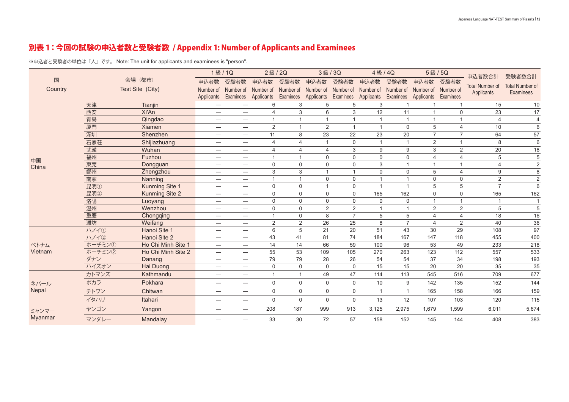### 別表 1:今回の試験の申込者数と受験者数 / Appendix 1: Number of Applicants and Examinees

※申込者と受験者の単位は「人」です。 Note: The unit for applicants and examinees is "person".

|         |        |                       | 1級/1Q                           |                          | 2級/2Q          |                          | 3級/3Q                   |                | 4級/4Q          |                |                | 5級/5Q          | 申込者数合計                               | 受験者数合計                                     |
|---------|--------|-----------------------|---------------------------------|--------------------------|----------------|--------------------------|-------------------------|----------------|----------------|----------------|----------------|----------------|--------------------------------------|--------------------------------------------|
| 国       |        | 会場 (都市)               | 申込者数                            | 受験者数                     | 申込者数           | 受験者数                     | 申込者数                    | 受験者数           | 申込者数           | 受験者数           | 申込者数           | 受験者数           |                                      |                                            |
| Country |        | Test Site (City)      | Number of                       | Number of                | Number of      | Number of                | Number of               | Number of      | Number of      | Number of      | Number of      | Number of      | <b>Total Number of</b><br>Applicants | <b>Total Number of</b><br><b>Examinees</b> |
|         |        |                       |                                 | Applicants Examinees     | Applicants     | Examinees                | Applicants              | Examinees      | Applicants     | Examinees      | Applicants     | Examinees      |                                      |                                            |
|         | 天津     | Tianjin               |                                 |                          | 6              | 3                        | 5                       | 5              | 3              | $\mathbf{1}$   | $\mathbf{1}$   | $\mathbf 1$    | 15                                   | $10$                                       |
|         | 西安     | Xi'An                 | $\hspace{0.1mm}-\hspace{0.1mm}$ |                          | Δ              | 3                        | 6                       | 3              | 12             | 11             |                | $\mathbf 0$    | 23                                   | 17                                         |
|         | 青島     | Qingdao               | $\overline{\phantom{0}}$        |                          |                | $\overline{\phantom{a}}$ | $\overline{1}$          |                | $\overline{1}$ | $\mathbf{1}$   |                |                | 4                                    | $\overline{4}$                             |
|         | 厦門     | Xiamen                | $\overline{\phantom{0}}$        |                          | 2              | $\overline{1}$           | $\overline{2}$          | $\overline{1}$ | $\overline{1}$ | $\mathbf 0$    | 5              | $\overline{4}$ | 10                                   | 6                                          |
|         | 深圳     | Shenzhen              | $\overline{\phantom{m}}$        |                          | 11             | 8                        | 23                      | 22             | 23             | 20             | $\overline{7}$ | $\overline{7}$ | 64                                   | 57                                         |
|         | 石家荘    | Shijiazhuang          |                                 | $\overline{\phantom{0}}$ | 4              | 4                        | $\mathbf{1}$            | $\mathbf 0$    | $\overline{1}$ | $\mathbf{1}$   | 2              | $\mathbf{1}$   | 8                                    | 6                                          |
|         | 武漢     | Wuhan                 | $\hspace{0.1mm}-\hspace{0.1mm}$ |                          | $\overline{4}$ | 4                        | $\overline{4}$          | 3              | 9              | 9              | 3              | 2              | 20                                   | 18                                         |
| 中国      | 福州     | Fuzhou                | $\overline{\phantom{m}}$        |                          |                | $\overline{1}$           | $\Omega$                | $\Omega$       | $\Omega$       | $\mathbf 0$    | 4              | $\overline{4}$ | 5                                    | 5                                          |
| China   | 東莞     | Dongguan              | $\overline{\phantom{0}}$        | $\overline{\phantom{0}}$ | $\mathbf 0$    | $\Omega$                 | $\Omega$                | $\Omega$       | 3              | $\mathbf{1}$   | $\mathbf 1$    | $\mathbf{1}$   | 4                                    | $\overline{2}$                             |
|         | 鄭州     | Zhengzhou             | $\overline{\phantom{0}}$        | $\overline{\phantom{0}}$ | 3              | 3                        | $\overline{\mathbf{1}}$ | $\overline{1}$ | 0              | $\mathbf 0$    | 5              | $\overline{4}$ | 9                                    | 8                                          |
|         | 南寧     | <b>Nanning</b>        | $\overline{\phantom{0}}$        |                          | $\overline{1}$ | $\overline{1}$           | $\mathbf 0$             | $\mathbf 0$    | $\overline{1}$ | $\mathbf{1}$   | $\mathbf 0$    | $\mathbf 0$    | $\overline{2}$                       | $\overline{2}$                             |
|         | 昆明①    | Kunming Site 1        | $\overline{\phantom{0}}$        |                          | $\Omega$       | $\Omega$                 | $\overline{1}$          | $\Omega$       | $\overline{1}$ | $\mathbf{1}$   | 5              | 5              | $\overline{7}$                       | 6                                          |
|         | 昆明②    | <b>Kunming Site 2</b> | $\overline{\phantom{0}}$        | $\overline{\phantom{0}}$ | $\Omega$       | $\Omega$                 | $\mathbf 0$             | $\mathbf 0$    | 165            | 162            | $\Omega$       | $\mathbf 0$    | 165                                  | 162                                        |
|         | 洛陽     | Luoyang               | $\overline{\phantom{m}}$        | $\overline{\phantom{0}}$ | 0              | $\mathbf 0$              | $\mathbf 0$             | $\mathbf 0$    | 0              | $\mathbf 0$    | $\overline{1}$ | $\mathbf{1}$   |                                      | $\mathbf{1}$                               |
|         | 温州     | Wenzhou               | $\overline{\phantom{0}}$        |                          | $\mathbf 0$    | $\mathbf 0$              | $\overline{2}$          | $\overline{2}$ | $\overline{1}$ | $\mathbf{1}$   | 2              | 2              | 5                                    | 5                                          |
|         | 重慶     | Chongqing             | $\overline{\phantom{m}}$        |                          |                | $\Omega$                 | 8                       | $\overline{7}$ | 5              | 5              | 4              | $\overline{4}$ | 18                                   | 16                                         |
|         | 濰坊     | Weifang               | $\overline{\phantom{0}}$        | $\overline{\phantom{0}}$ | 2              | 2                        | 26                      | 25             | 8              | $\overline{7}$ | 4              | 2              | 40                                   | 36                                         |
|         | ハノイ①   | Hanoi Site 1          | $\overline{\phantom{0}}$        | $\qquad \qquad -$        | 6              | 5                        | 21                      | 20             | 51             | 43             | 30             | 29             | 108                                  | $\overline{97}$                            |
|         | 11/12  | Hanoi Site 2          | $\overline{\phantom{0}}$        |                          | 43             | 41                       | 81                      | 74             | 184            | 167            | 147            | 118            | 455                                  | 400                                        |
| ベトナム    | ホーチミン① | Ho Chi Minh Site 1    | $\overline{\phantom{m}}$        |                          | 14             | 14                       | 66                      | 59             | 100            | 96             | 53             | 49             | 233                                  | 218                                        |
| Vietnam | ホーチミン2 | Ho Chi Minh Site 2    | $\overline{\phantom{0}}$        | $\overline{\phantom{0}}$ | 55             | 53                       | 109                     | 105            | 270            | 263            | 123            | 112            | 557                                  | 533                                        |
|         | ダナン    | Danang                | $\overline{\phantom{m}}$        | $\overline{\phantom{0}}$ | 79             | 79                       | 28                      | 26             | 54             | 54             | 37             | 34             | 198                                  | 193                                        |
|         | ハイズオン  | Hai Duong             | $\overline{\phantom{0}}$        |                          | $\mathbf 0$    | $\mathbf 0$              | $\mathbf 0$             | 0              | 15             | 15             | 20             | 20             | 35                                   | 35                                         |
|         | カトマンズ  | Kathmandu             | $\overline{\phantom{0}}$        | $\overline{\phantom{0}}$ |                | -1                       | 49                      | 47             | 114            | 113            | 545            | 516            | 709                                  | 677                                        |
| ネパール    | ポカラ    | Pokhara               | $\overline{\phantom{m}}$        | $\overline{\phantom{0}}$ | $\mathbf 0$    | $\mathbf{0}$             | $\mathbf 0$             | $\Omega$       | 10             | 9              | 142            | 135            | 152                                  | 144                                        |
| Nepal   | チトワン   | Chitwan               | $\overline{\phantom{0}}$        | $\overline{\phantom{m}}$ | $\mathbf 0$    | $\mathbf 0$              | $\mathbf 0$             | 0              | $\overline{1}$ | $\mathbf{1}$   | 165            | 158            | 166                                  | 159                                        |
|         | イタハリ   | Itahari               | $\overline{\phantom{m}}$        | $\overline{\phantom{0}}$ | $\Omega$       | $\mathbf{0}$             | $\Omega$                | $\Omega$       | 13             | 12             | 107            | 103            | 120                                  | 115                                        |
| ミャンマー   | ヤンゴン   | Yangon                | $\overline{\phantom{0}}$        |                          | 208            | 187                      | 999                     | 913            | 3,125          | 2,975          | 1,679          | 1,599          | 6,011                                | 5,674                                      |
| Myanmar | マンダレー  | Mandalay              |                                 |                          | 33             | 30                       | 72                      | 57             | 158            | 152            | 145            | 144            | 408                                  | 383                                        |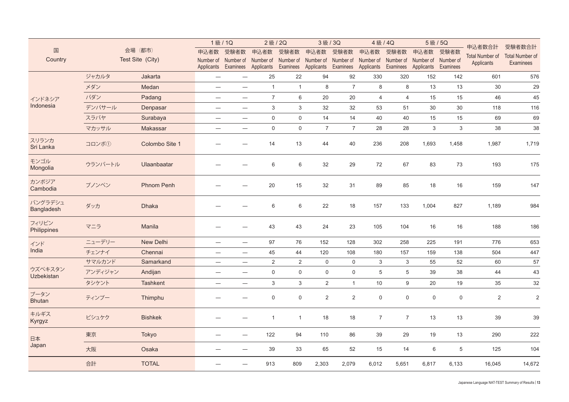|                              |         |                   | 1級/1Q                            |                                                       | 2級/2Q          |                        |                         | 3級/3Q                            | 4級/4Q          |                  |                                                                 | 5級/5Q<br>申込者数合計 |                        | 受験者数合計                 |
|------------------------------|---------|-------------------|----------------------------------|-------------------------------------------------------|----------------|------------------------|-------------------------|----------------------------------|----------------|------------------|-----------------------------------------------------------------|-----------------|------------------------|------------------------|
| 国                            |         | 会場 (都市)           | 申込者数                             | 受験者数                                                  | 申込者数           | 受験者数                   | 申込者数                    | 受験者数                             | 申込者数           | 受験者数             | 申込者数                                                            | 受験者数            | <b>Total Number of</b> | <b>Total Number of</b> |
| Country                      |         | Test Site (City)  |                                  | Number of Number of Number of<br>Applicants Examinees | Applicants     | Number of<br>Examinees | Number of<br>Applicants | Number of Number of<br>Examinees | Applicants     |                  | Number of Number of Number of<br>Examinees Applicants Examinees |                 | Applicants             | <b>Examinees</b>       |
|                              | ジャカルタ   | Jakarta           | $\overline{\phantom{0}}$         |                                                       | 25             | 22                     | 94                      | 92                               | 330            | 320              | 152                                                             | 142             | 601                    | 576                    |
|                              | メダン     | Medan             | $\overline{\phantom{0}}$         |                                                       | $\mathbf{1}$   | $\overline{1}$         | 8                       | $\overline{7}$                   | 8              | 8                | 13                                                              | 13              | $30\,$                 | 29                     |
| インドネシア                       | パダン     | Padang            | $\overline{\phantom{m}}$         |                                                       | $\overline{7}$ | 6                      | 20                      | 20                               | $\overline{4}$ | $\overline{4}$   | 15                                                              | 15              | 46                     | 45                     |
| Indonesia                    | デンパサール  | Denpasar          | $\overline{\phantom{0}}$         | $\qquad \qquad -$                                     | 3              | 3                      | 32                      | 32                               | 53             | 51               | 30                                                              | 30              | 118                    | 116                    |
|                              | スラバヤ    | Surabaya          | $\overline{\phantom{m}}$         |                                                       | $\mathbf 0$    | $\mathbf 0$            | 14                      | 14                               | 40             | 40               | 15                                                              | 15              | 69                     | 69                     |
|                              | マカッサル   | Makassar          | $\overline{\phantom{m}}$         | $\overline{\phantom{0}}$                              | $\mathbf 0$    | $\mathbf 0$            | $\overline{7}$          | $\overline{7}$                   | 28             | 28               | 3                                                               | 3               | 38                     | 38                     |
| スリランカ<br>Sri Lanka           | コロンボ①   | Colombo Site 1    |                                  |                                                       | 14             | 13                     | 44                      | 40                               | 236            | 208              | 1,693                                                           | 1,458           | 1,987                  | 1,719                  |
| モンゴル<br>Mongolia             | ウランバートル | Ulaanbaatar       |                                  |                                                       | 6              | 6                      | 32                      | 29                               | 72             | 67               | 83                                                              | 73              | 193                    | 175                    |
| カンボジア<br>Cambodia            | プノンペン   | <b>Phnom Penh</b> |                                  |                                                       | 20             | 15                     | 32                      | 31                               | 89             | 85               | 18                                                              | 16              | 159                    | 147                    |
| バングラデシュ<br><b>Bangladesh</b> | ダッカ     | <b>Dhaka</b>      |                                  |                                                       | 6              | 6                      | 22                      | 18                               | 157            | 133              | 1,004                                                           | 827             | 1,189                  | 984                    |
| フィリピン<br>Philippines         | マニラ     | Manila            |                                  |                                                       | 43             | 43                     | 24                      | 23                               | 105            | 104              | 16                                                              | 16              | 188                    | 186                    |
| インド                          | ニューデリー  | New Delhi         |                                  |                                                       | 97             | 76                     | 152                     | 128                              | 302            | 258              | 225                                                             | 191             | 776                    | 653                    |
| India                        | チェンナイ   | Chennai           | $\overline{\phantom{m}}$         | $\qquad \qquad -$                                     | 45             | 44                     | 120                     | 108                              | 180            | 157              | 159                                                             | 138             | 504                    | 447                    |
|                              | サマルカンド  | Samarkand         | $\overline{\phantom{m}}$         | $\overbrace{\phantom{12322111}}$                      | 2              | 2                      | $\mathbf 0$             | $\mathbf 0$                      | 3              | 3                | 55                                                              | 52              | 60                     | 57                     |
| ウズベキスタン<br><b>Uzbekistan</b> | アンディジャン | Andijan           |                                  |                                                       | $\mathbf 0$    | $\mathbf 0$            | $\boldsymbol{0}$        | $\mathsf 0$                      | $\,$ 5 $\,$    | 5                | 39                                                              | 38              | 44                     | 43                     |
|                              | タシケント   | <b>Tashkent</b>   | $\overline{\phantom{m}}$         |                                                       | $\mathbf{3}$   | 3                      | $\overline{2}$          | $\overline{1}$                   | 10             | $\boldsymbol{9}$ | 20                                                              | 19              | 35                     | 32                     |
| ブータン<br><b>Bhutan</b>        | ティンプー   | Thimphu           |                                  |                                                       | $\mathbf 0$    | $\mathbf 0$            | $\overline{2}$          | $\sqrt{2}$                       | $\mathsf 0$    | $\mathsf 0$      | $\mathbf 0$                                                     | $\mathsf 0$     | $\sqrt{2}$             | $\sqrt{2}$             |
| キルギス<br>Kyrgyz               | ビシュケク   | <b>Bishkek</b>    |                                  |                                                       | $\mathbf{1}$   | $\overline{1}$         | 18                      | 18                               | $\overline{7}$ | $\overline{7}$   | 13                                                              | 13              | 39                     | 39                     |
| 日本                           | 東京      | Tokyo             |                                  |                                                       | 122            | 94                     | 110                     | 86                               | 39             | 29               | 19                                                              | 13              | 290                    | 222                    |
| Japan                        | 大阪      | Osaka             | $\overbrace{\phantom{12321111}}$ |                                                       | 39             | 33                     | 65                      | 52                               | 15             | 14               | 6                                                               | $\,$ 5 $\,$     | 125                    | 104                    |
|                              | 合計      | <b>TOTAL</b>      |                                  |                                                       | 913            | 809                    | 2,303                   | 2,079                            | 6,012          | 5,651            | 6,817                                                           | 6,133           | 16,045                 | 14,672                 |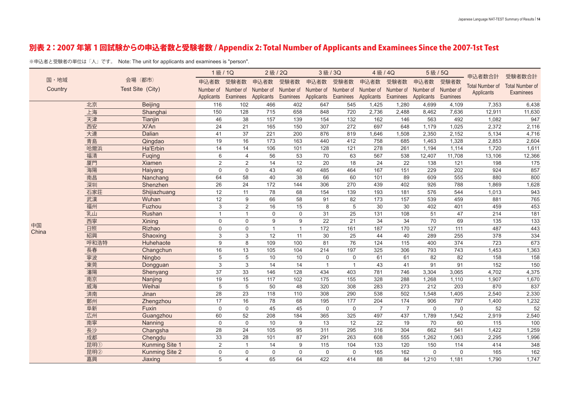### 別表 2:2007 年第 1 回試験からの申込者数と受験者数 / Appendix 2: Total Number of Applicants and Examinees Since the 2007-1st Test

※申込者と受験者の単位は「人」です。 Note: The unit for applicants and examinees is "person".

|         |      |                       | 1級/1Q          |                     | 2級/2Q          |                     | 3級/3Q        |                     | 4級/4Q            |                | 5級/5Q                         |                 | 申込者数合計                 | 受験者数合計                                     |
|---------|------|-----------------------|----------------|---------------------|----------------|---------------------|--------------|---------------------|------------------|----------------|-------------------------------|-----------------|------------------------|--------------------------------------------|
| 国·地域    |      | 会場<br>(都市)            | 申込者数           | 受験者数                | 申込者数           | 受験者数                | 申込者数         | 受験者数                | 申込者数             | 受験者数           | 申込者数                          | 受験者数            |                        |                                            |
| Country |      | Test Site (City)      | Number of      | Number of Number of |                | Number of Number of |              | Number of Number of |                  |                | Number of Number of Number of |                 | <b>Total Number of</b> | <b>Total Number of</b><br><b>Examinees</b> |
|         |      |                       | Applicants     | Examinees           | Applicants     | Examinees           | Applicants   | Examinees           | Applicants       | Examinees      | Applicants                    | Examinees       | Applicants             |                                            |
|         | 北京   | <b>Beijing</b>        | 116            | 102                 | 466            | 402                 | 647          | 545                 | 1,425            | 1,280          | 4,699                         | 4,109           | 7,353                  | 6,438                                      |
|         | 上海   | Shanghai              | 150            | 128                 | 715            | 658                 | 848          | 720                 | 2,736            | 2,488          | 8,462                         | 7,636           | 12,911                 | 11,630                                     |
|         | 天津   | Tianjin               | 46             | 38                  | 157            | 139                 | 154          | 132                 | 162              | 146            | 563                           | 492             | 1,082                  | 947                                        |
|         | 西安   | Xi'An                 | 24             | 21                  | 165            | 150                 | 307          | 272                 | 697              | 648            | 1,179                         | 1,025           | 2,372                  | 2,116                                      |
|         | 大連   | <b>Dalian</b>         | 41             | 37                  | 221            | 200                 | 876          | 819                 | 1,646            | 1,508          | 2,350                         | 2,152           | 5,134                  | 4,716                                      |
|         | 青島   | Qingdao               | 19             | 16                  | 173            | 163                 | 440          | 412                 | 758              | 685            | 1,463                         | 1,328           | 2,853                  | 2,604                                      |
|         | 哈爾浜  | Ha'Erbin              | 14             | 14                  | 106            | 101                 | 128          | 121                 | 278              | 261            | 1,194                         | 1,114           | 1,720                  | 1,611                                      |
|         | 福清   | Fuqing                | $6\phantom{1}$ | $\overline{4}$      | 56             | 53                  | 70           | 63                  | 567              | 538            | 12,407                        | 11,708          | 13,106                 | 12,366                                     |
|         | 厦門   | Xiamen                | $\overline{2}$ | $\overline{2}$      | 14             | 12                  | 20           | 18                  | 24               | 22             | 138                           | 121             | 198                    | 175                                        |
|         | 海陽   | Haiyang               | $\mathbf 0$    | $\Omega$            | 43             | 40                  | 485          | 464                 | 167              | 151            | 229                           | 202             | 924                    | 857                                        |
|         | 南昌   | Nanchang              | 64             | 58                  | 40             | 38                  | 66           | 60                  | 101              | 89             | 609                           | 555             | 880                    | 800                                        |
|         | 深圳   | Shenzhen              | 26             | 24                  | 172            | 144                 | 306          | 270                 | 439              | 402            | 926                           | 788             | 1,869                  | 1,628                                      |
|         | 石家荘  | Shijiazhuang          | 12             | 11                  | 78             | 68                  | 154          | 139                 | 193              | 181            | 576                           | 544             | 1,013                  | 943                                        |
|         | 武漢   | Wuhan                 | 12             | 9                   | 66             | 58                  | 91           | 82                  | 173              | 157            | 539                           | 459             | 881                    | 765                                        |
|         | 福州   | Fuzhou                | $\mathbf{3}$   | $\overline{2}$      | 16             | 15                  | 8            | 5                   | $\overline{30}$  | 30             | 402                           | 401             | 459                    | 453                                        |
|         | 乳山   | Rushan                | $\mathbf{1}$   | $\mathbf{1}$        | $\mathbf 0$    | $\mathbf 0$         | 31           | 25                  | $\overline{131}$ | 108            | 51                            | $\overline{47}$ | 214                    | 181                                        |
| 中国      | 西寧   | Xining                | $\mathbf{0}$   | $\Omega$            | 9              | 9                   | 22           | 21                  | 34               | 34             | 70                            | 69              | 135                    | 133                                        |
| China   | 日照   | Rizhao                | $\mathbf 0$    | $\mathbf 0$         | $\overline{1}$ | $\mathbf{1}$        | 172          | 161                 | 187              | 170            | 127                           | 111             | 487                    | 443                                        |
|         | 紹興   | Shaoxing              | 3              | 3                   | 12             | 11                  | 30           | 25                  | 44               | 40             | 289                           | 255             | 378                    | 334                                        |
|         | 呼和浩特 | Huhehaote             | 9              | 8                   | 109            | 100                 | 81           | 76                  | 124              | 115            | 400                           | 374             | 723                    | 673                                        |
|         | 長春   | Changchun             | 16             | 13                  | 105            | 104                 | 214          | 197                 | 325              | 306            | 793                           | 743             | 1,453                  | 1,363                                      |
|         | 寧波   | Ningbo                | $\overline{5}$ | 5                   | 10             | 10                  | $\mathbf 0$  | $\mathbf 0$         | 61               | 61             | 82                            | 82              | 158                    | 158                                        |
|         | 東莞   | Dongguan              | 3              | 3                   | 14             | 14                  | $\mathbf{1}$ | $\mathbf{1}$        | 43               | 41             | 91                            | 91              | 152                    | 150                                        |
|         | 瀋陽   | Shenyang              | 37             | 33                  | 146            | 128                 | 434          | 403                 | 781              | 746            | 3,304                         | 3,065           | 4,702                  | 4,375                                      |
|         | 南京   | Nanjing               | 19             | 15                  | 117            | 102                 | 175          | 155                 | 328              | 288            | 1,268                         | 1,110           | 1,907                  | 1,670                                      |
|         | 威海   | Weihai                | 5              | 5                   | 50             | 48                  | 320          | 308                 | 283              | 273            | 212                           | 203             | 870                    | 837                                        |
|         | 済南   | Jinan                 | 28             | 23                  | 118            | 110                 | 308          | 290                 | 538              | 502            | 1,548                         | 1,405           | 2,540                  | 2,330                                      |
|         | 鄭州   | Zhengzhou             | 17             | 16                  | 78             | 68                  | 195          | 177                 | 204              | 174            | 906                           | 797             | 1,400                  | 1,232                                      |
|         | 阜新   | Fuxin                 | $\Omega$       | $\Omega$            | 45             | 45                  | $\Omega$     | $\Omega$            | $\overline{7}$   | $\overline{7}$ | $\Omega$                      | $\Omega$        | 52                     | 52                                         |
|         | 広州   | Guangzhou             | 60             | 52                  | 208            | 184                 | 365          | 325                 | 497              | 437            | 1,789                         | 1,542           | 2,919                  | 2,540                                      |
|         | 南寧   | Nanning               | $\mathbf 0$    | $\Omega$            | 10             | 9                   | 13           | 12                  | 22               | 19             | 70                            | 60              | 115                    | 100                                        |
|         | 長沙   | Changsha              | 28             | 24                  | 105            | 95                  | 311          | 295                 | 316              | 304            | 662                           | 541             | 1,422                  | 1,259                                      |
|         | 成都   | Chengdu               | 33             | $\overline{28}$     | 101            | 87                  | 291          | 263                 | 608              | 555            | 1,262                         | 1,063           | 2,295                  | 1,996                                      |
|         | 昆明①  | <b>Kunming Site 1</b> | $\overline{2}$ | $\overline{1}$      | 14             | 9                   | 115          | 104                 | 133              | 120            | 150                           | 114             | 414                    | 348                                        |
|         | 昆明2  | <b>Kunming Site 2</b> | $\mathbf 0$    | $\Omega$            | $\Omega$       | $\Omega$            | $\mathbf 0$  | $\Omega$            | 165              | 162            | $\mathbf 0$                   | $\Omega$        | 165                    | 162                                        |
|         | 嘉興   | Jiaxing               | 5              | $\overline{4}$      | 65             | 64                  | 422          | 414                 | 88               | 84             | 1,210                         | 1,181           | 1,790                  | 1,747                                      |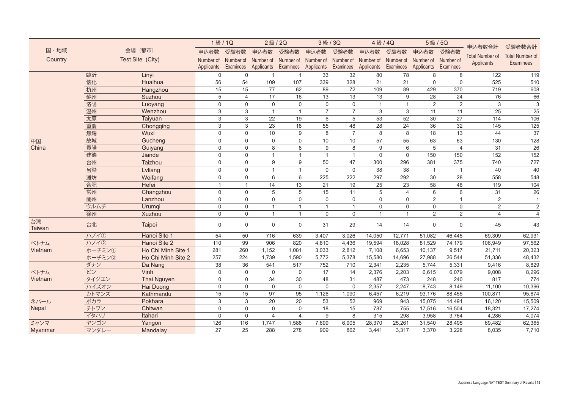|                     |        |                    | 1級/1Q               |              | 2級/2Q          |                | 3級/3Q          |                     | 4級/4Q           |                | <b>5級/5Q</b>                  |                | 申込者数合計                 | 受験者数合計                 |
|---------------------|--------|--------------------|---------------------|--------------|----------------|----------------|----------------|---------------------|-----------------|----------------|-------------------------------|----------------|------------------------|------------------------|
| 国·地域                |        | 会場<br>(都市)         | 申込者数                | 受験者数         | 申込者数           | 受験者数           | 申込者数           | 受験者数                | 申込者数            | 受験者数           | 申込者数                          | 受験者数           |                        |                        |
| Country             |        | Test Site (City)   | Number of Number of |              | Number of      | Number of      | Number of      | Number of Number of |                 |                | Number of Number of Number of |                | <b>Total Number of</b> | <b>Total Number of</b> |
|                     |        |                    | Applicants          | Examinees    | Applicants     | Examinees      | Applicants     | Examinees           | Applicants      | Examinees      | Applicants Examinees          |                | Applicants             | <b>Examinees</b>       |
|                     | 臨沂     | Linyi              | $\mathbf 0$         | $\mathbf{0}$ |                |                | 33             | 32                  | 80              | 78             | 8                             | 8              | 122                    | 119                    |
|                     | 懐化     | Huaihua            | 56                  | 54           | 109            | 107            | 339            | 328                 | $\overline{21}$ | 21             | $\mathbf 0$                   | $\mathbf 0$    | 525                    | 510                    |
|                     | 杭州     | Hangzhou           | 15                  | 15           | 77             | 62             | 89             | 72                  | 109             | 89             | 429                           | 370            | 719                    | 608                    |
|                     | 蘇州     | Suzhou             | 5                   | 4            | 17             | 16             | 13             | 13                  | 13              | 9              | 28                            | 24             | 76                     | 66                     |
|                     | 洛陽     | Luoyang            | $\mathbf 0$         | $\mathbf{0}$ | $\mathbf 0$    | $\mathbf{0}$   | $\mathbf 0$    | $\mathbf 0$         | $\mathbf{1}$    | $\mathbf{1}$   | 2                             | 2              | 3                      | 3                      |
|                     | 温州     | Wenzhou            | 3                   | 3            | $\overline{1}$ | $\overline{1}$ | $\overline{7}$ | $\overline{7}$      | 3               | 3              | 11                            | 11             | 25                     | 25                     |
|                     | 太原     | Taiyuan            | 3                   | 3            | 22             | 19             | 6              | 5                   | 53              | 52             | 30                            | 27             | 114                    | 106                    |
|                     | 重慶     | Chongqing          | 3                   | 3            | 23             | 18             | 55             | 48                  | 28              | 24             | 36                            | 32             | 145                    | 125                    |
|                     | 無錫     | Wuxi               | 0                   | $\mathbf 0$  | $10$           | 9              | 8              | $\overline{7}$      | 8               | 8              | 18                            | 13             | 44                     | $\overline{37}$        |
| 中国                  | 故城     | Gucheng            | $\mathbf 0$         | $\mathbf 0$  | $\mathbf 0$    | $\mathbf 0$    | 10             | 10 <sup>°</sup>     | 57              | 55             | 63                            | 63             | 130                    | 128                    |
| China               | 貴陽     | Guiyang            | $\Omega$            | $\Omega$     | 8              | 8              | 9              | 8                   | 9               | 6              | 5                             | $\overline{4}$ | 31                     | 26                     |
|                     | 建德     | Jiande             | $\mathbf 0$         | $\Omega$     | $\mathbf{1}$   | $\overline{1}$ | $\overline{1}$ | $\overline{1}$      | $\Omega$        | $\Omega$       | 150                           | 150            | 152                    | 152                    |
|                     | 台州     | Taizhou            | $\Omega$            | $\Omega$     | 9              | 9              | 50             | 47                  | 300             | 296            | 381                           | 375            | 740                    | 727                    |
|                     | 呂梁     | Lvliang            | $\Omega$            | $\Omega$     | $\overline{1}$ | $\overline{1}$ | $\mathbf 0$    | $\Omega$            | 38              | 38             | $\overline{1}$                | $\overline{1}$ | 40                     | 40                     |
|                     | 濰坊     | Weifang            | $\Omega$            | $\Omega$     | 6              | 6              | 225            | 222                 | 297             | 292            | 30                            | 28             | 558                    | 548                    |
|                     | 合肥     | Hefei              | $\mathbf{1}$        | $\mathbf{1}$ | 14             | 13             | 21             | 19                  | 25              | 23             | 58                            | 48             | 119                    | 104                    |
|                     | 常州     | Changzhou          | $\mathbf 0$         | $\mathbf 0$  | 5              | 5              | 15             | 11                  | 5               | $\overline{4}$ | 6                             | 6              | 31                     | 26                     |
|                     | 蘭州     | Lanzhou            | $\mathbf 0$         | $\mathbf 0$  | $\mathbf 0$    | $\mathbf{0}$   | $\mathbf 0$    | $\mathbf 0$         | $\mathbf 0$     | $\Omega$       | 2                             | $\overline{1}$ | $\overline{2}$         | $\mathbf{1}$           |
|                     | ウルムチ   | Urumqi             | $\mathbf 0$         | $\mathbf 0$  | $\overline{1}$ | $\overline{1}$ | $\mathbf{1}$   | $\mathbf{1}$        | $\Omega$        | $\Omega$       | $\Omega$                      | $\mathbf 0$    | 2                      | 2                      |
|                     | 徐州     | Xuzhou             | $\Omega$            | $\mathbf{0}$ | $\overline{1}$ | $\overline{1}$ | $\Omega$       | $\Omega$            | $\mathbf{1}$    | $\mathbf{1}$   | 2                             | 2              | $\overline{4}$         | $\overline{4}$         |
| 台湾<br><b>Taiwan</b> | 台北     | Taipei             | $\Omega$            | $\Omega$     | $\mathbf 0$    | $\mathbf 0$    | 31             | 29                  | 14              | 14             | $\mathbf 0$                   | $\mathbf 0$    | 45                     | 43                     |
|                     | ハノイ①   | Hanoi Site 1       | 54                  | 50           | 716            | 639            | 3,407          | 3,026               | 14,050          | 12,771         | 51,082                        | 46,445         | 69,309                 | 62,931                 |
| ベトナム                | 11/12  | Hanoi Site 2       | 110                 | 99           | 906            | 820            | 4,810          | 4,436               | 19,594          | 18,028         | 81,529                        | 74,179         | 106,949                | 97,562                 |
| Vietnam             | ホーチミン① | Ho Chi Minh Site 1 | 281                 | 260          | 1,152          | 1,081          | 3,033          | 2,812               | 7,108           | 6,653          | 10,137                        | 9,517          | 21,711                 | 20,323                 |
|                     | ホーチミン2 | Ho Chi Minh Site 2 | 257                 | 224          | 1,739          | 1,590          | 5,772          | 5,378               | 15,580          | 14,696         | 27,988                        | 26,544         | 51,336                 | 48,432                 |
|                     | ダナン    | Da Nang            | 38                  | 36           | 541            | 517            | 752            | 710                 | 2,341           | 2,235          | 5,744                         | 5,331          | 9,416                  | 8,829                  |
| ベトナム                | ビン     | Vinh               | $\mathbf 0$         | $\mathbf 0$  | $\mathbf 0$    | $\mathbf 0$    | 17             | 14                  | 2,376           | 2,203          | 6,615                         | 6,079          | 9,008                  | 8,296                  |
| Vietnam             | タイグエン  | Thai Nguyen        | $\mathbf 0$         | $\mathbf 0$  | 34             | 30             | 48             | 31                  | 487             | 473            | 248                           | 240            | 817                    | 774                    |
|                     | ハイズオン  | <b>Hai Duong</b>   | $\mathbf 0$         | $\Omega$     | $\mathbf 0$    | $\Omega$       | $\Omega$       | $\mathbf 0$         | 2,357           | 2,247          | 8,743                         | 8,149          | 11,100                 | 10,396                 |
|                     | カトマンズ  | Kathmandu          | 15                  | 15           | 97             | 95             | 1,126          | 1,090               | 6,457           | 6,219          | 93,176                        | 88,455         | 100,871                | 95,874                 |
| ネパール                | ポカラ    | Pokhara            | 3                   | 3            | 20             | 20             | 53             | 52                  | 969             | 943            | 15,075                        | 14,491         | 16,120                 | 15,509                 |
| <b>Nepal</b>        | チトワン   | Chitwan            | $\Omega$            | $\mathbf 0$  | $\mathbf 0$    | $\mathbf{0}$   | 18             | 15                  | 787             | 755            | 17,516                        | 16,504         | 18,321                 | 17,274                 |
|                     | イタハリ   | Itahari            | $\Omega$            | $\Omega$     | $\overline{4}$ | $\overline{4}$ | 9              | 8                   | 315             | 298            | 3,958                         | 3,764          | 4,286                  | 4,074                  |
| ミャンマー               | ヤンゴン   | Yangon             | 126                 | 116          | 1,747          | 1,588          | 7,699          | 6,905               | 28,370          | 25,261         | 31,540                        | 28,495         | 69,482                 | 62,365                 |
| Myanmar             | マンダレー  | Mandalay           | 27                  | 25           | 288            | 278            | 909            | 862                 | 3,441           | 3,317          | 3,370                         | 3,228          | 8,035                  | 7,710                  |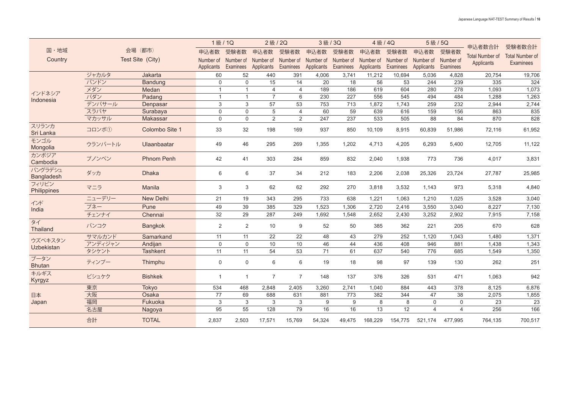|                              | 会場<br>(都市) |                   | 1級/1Q        |                | 2級/2Q          |                | 3級/3Q      |           | 4級/4Q      |           | 5級/5Q                         |                | 申込者数合計                               | 受験者数合計                                     |
|------------------------------|------------|-------------------|--------------|----------------|----------------|----------------|------------|-----------|------------|-----------|-------------------------------|----------------|--------------------------------------|--------------------------------------------|
| 国·地域                         |            |                   | 申込者数         | 受験者数           | 申込者数           | 受験者数           | 申込者数       | 受験者数      | 申込者数       | 受験者数      | 申込者数                          | 受験者数           |                                      |                                            |
| Country                      |            | Test Site (City)  | Number of    | Number of      | Number of      | Number of      | Number of  | Number of | Number of  |           | Number of Number of Number of |                | <b>Total Number of</b><br>Applicants | <b>Total Number of</b><br><b>Examinees</b> |
|                              |            |                   | Applicants   | Examinees      | Applicants     | Examinees      | Applicants | Examinees | Applicants | Examinees | Applicants                    | Examinees      |                                      |                                            |
| インドネシア<br>Indonesia          | ジャカルタ      | Jakarta           | 60           | 52             | 440            | 391            | 4,006      | 3,741     | 11,212     | 10,694    | 5,036                         | 4,828          | 20,754                               | 19,706                                     |
|                              | バンドン       | <b>Bandung</b>    | $\Omega$     | $\Omega$       | 15             | 14             | 20         | 18        | 56         | 53        | 244                           | 239            | 335                                  | 324                                        |
|                              | メダン        | Medan             |              | $\mathbf{1}$   | $\overline{4}$ | $\overline{4}$ | 189        | 186       | 619        | 604       | 280                           | 278            | 1,093                                | 1,073                                      |
|                              | パダン        | Padang            | $\mathbf{1}$ | $\mathbf{1}$   | $\overline{7}$ | 6              | 230        | 227       | 556        | 545       | 494                           | 484            | 1,288                                | 1,263                                      |
|                              | デンパサール     | Denpasar          | 3            | 3              | 57             | 53             | 753        | 713       | 1,872      | 1,743     | 259                           | 232            | 2,944                                | 2,744                                      |
|                              | スラバヤ       | Surabaya          | $\mathbf 0$  | $\Omega$       | 5              | $\overline{4}$ | 60         | 59        | 639        | 616       | 159                           | 156            | 863                                  | 835                                        |
|                              | マカッサル      | <b>Makassar</b>   | $\mathbf 0$  | $\Omega$       | 2              | 2              | 247        | 237       | 533        | 505       | 88                            | 84             | 870                                  | 828                                        |
| スリランカ<br>Sri Lanka           | コロンボ①      | Colombo Site 1    | 33           | 32             | 198            | 169            | 937        | 850       | 10,109     | 8,915     | 60,839                        | 51,986         | 72,116                               | 61,952                                     |
| モンゴル<br>Mongolia             | ウランバートル    | Ulaanbaatar       | 49           | 46             | 295            | 269            | 1,355      | 1,202     | 4,713      | 4,205     | 6,293                         | 5,400          | 12,705                               | 11,122                                     |
| カンボジア<br>Cambodia            | プノンペン      | <b>Phnom Penh</b> | 42           | 41             | 303            | 284            | 859        | 832       | 2,040      | 1,938     | 773                           | 736            | 4,017                                | 3,831                                      |
| バングラデシュ<br>Bangladesh        | ダッカ        | <b>Dhaka</b>      | 6            | 6              | 37             | 34             | 212        | 183       | 2,206      | 2,038     | 25,326                        | 23,724         | 27,787                               | 25,985                                     |
| フィリピン<br>Philippines         | マニラ        | Manila            | 3            | 3              | 62             | 62             | 292        | 270       | 3,818      | 3,532     | 1,143                         | 973            | 5,318                                | 4,840                                      |
| インド<br>India                 | ニューデリー     | New Delhi         | 21           | 19             | 343            | 295            | 733        | 638       | 1,221      | 1,063     | 1,210                         | 1,025          | 3,528                                | 3,040                                      |
|                              | プネー        | Pune              | 49           | 39             | 385            | 329            | 1,523      | 1,306     | 2,720      | 2,416     | 3,550                         | 3,040          | 8,227                                | 7,130                                      |
|                              | チェンナイ      | Chennai           | 32           | 29             | 287            | 249            | 1,692      | 1,548     | 2,652      | 2,430     | 3,252                         | 2,902          | 7,915                                | 7,158                                      |
| タイ<br>Thailand               | バンコク       | <b>Bangkok</b>    | 2            | 2              | 10             | 9              | 52         | 50        | 385        | 362       | 221                           | 205            | 670                                  | 628                                        |
| ウズベキスタン<br><b>Uzbekistan</b> | サマルカンド     | Samarkand         | 11           | 11             | 22             | 22             | 48         | 43        | 279        | 252       | 1,120                         | 1,043          | 1,480                                | 1,371                                      |
|                              | アンディジャン    | Andijan           | $\mathbf 0$  | $\mathbf 0$    | 10             | 10             | 46         | 44        | 436        | 408       | 946                           | 881            | 1,438                                | 1,343                                      |
|                              | タシケント      | <b>Tashkent</b>   | 11           | 11             | 54             | 53             | 71         | 61        | 637        | 540       | 776                           | 685            | 1,549                                | 1,350                                      |
| ブータン<br><b>Bhutan</b>        | ティンプー      | Thimphu           | $\mathbf 0$  | $\mathbf 0$    | 6              | 6              | 19         | 18        | 98         | 97        | 139                           | 130            | 262                                  | 251                                        |
| キルギス<br>Kyrgyz               | ビシュケク      | <b>Bishkek</b>    | $\mathbf{1}$ | $\overline{1}$ | $\overline{7}$ | $\overline{7}$ | 148        | 137       | 376        | 326       | 531                           | 471            | 1,063                                | 942                                        |
|                              | 東京         | <b>Tokyo</b>      | 534          | 468            | 2,848          | 2,405          | 3.260      | 2,741     | 1.040      | 884       | 443                           | 378            | 8,125                                | 6,876                                      |
| 日本<br>Japan                  | 大阪         | Osaka             | 77           | 69             | 688            | 631            | 881        | 773       | 382        | 344       | 47                            | 38             | 2,075                                | 1,855                                      |
|                              | 福岡         | Fukuoka           | 3            | 3              | 3              | 3              | 9          | 9         | 8          | 8         | $\mathbf 0$                   | $\Omega$       | 23                                   | 23                                         |
|                              | 名古屋        | Nagoya            | 95           | 55             | 128            | 79             | 16         | 16        | 13         | 12        | $\overline{4}$                | $\overline{4}$ | 256                                  | 166                                        |
|                              | 合計         | <b>TOTAL</b>      | 2,837        | 2,503          | 17,571         | 15,769         | 54,324     | 49.475    | 168,229    | 154,775   | 521,174                       | 477,995        | 764,135                              | 700,517                                    |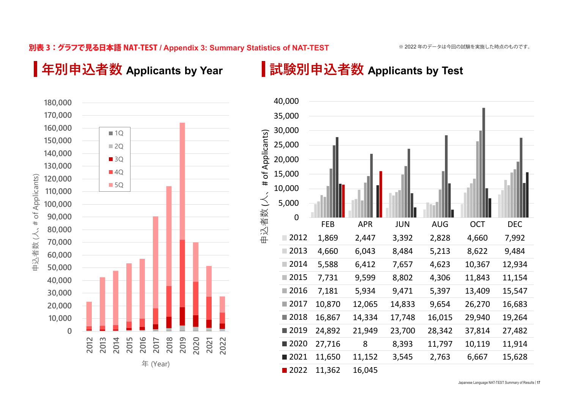### 別表 3:グラフで見る日本語 NAT-TEST **/ Appendix 3: Summary Statistics of NAT-TEST Common: Chatistics, of NAT TECT**

# **年別申込者数 Applicants by Year**

## **試験別申込者数 Applicants by Test**





Japanese Language NAT-TEST Summary of Results | **17**<br> **SENGLIFY**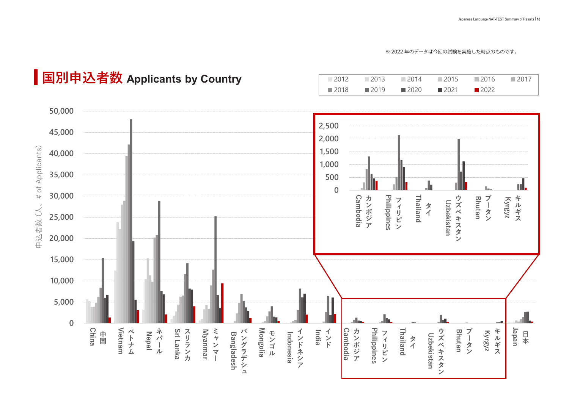※ 2022 年のデータは今回の試験を実施した時点のものです。

# **国別申込者数 Applicants by Country**

| $\Box$ 2012 | $-2013$             | $\Box$ 2014         | 2015                | $\Box$ 2016 | $\Box$ 2017 |
|-------------|---------------------|---------------------|---------------------|-------------|-------------|
| $\Box$ 2018 | $\blacksquare$ 2019 | $\blacksquare$ 2020 | $\blacksquare$ 2021 | ■ 2022      |             |

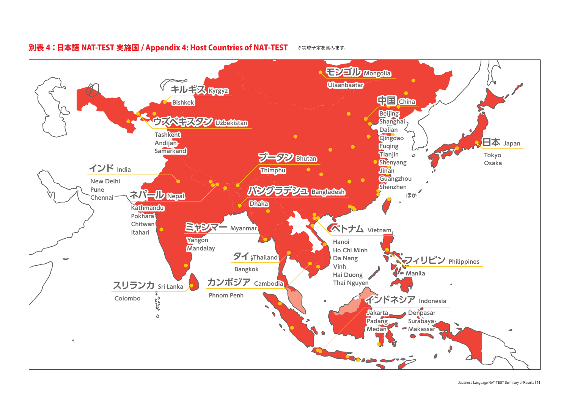

#### 別表 4:日本語 NAT-TEST 実施国 / Appendix 4: Host Countries of NAT-TEST ※実施予定を含みます。

Japanese Language NAT-TEST Summary of Results | **19**